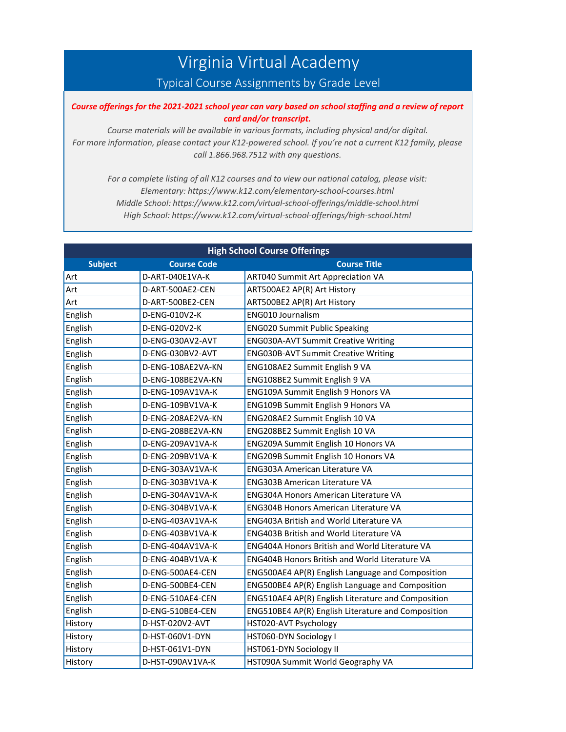## Virginia Virtual Academy

## Typical Course Assignments by Grade Level

## Course offerings for the 2021-2021 school year can vary based on school staffing and a review of report *card and/or transcript.*

*Course materials will be available in various formats, including physical and/or digital. For more information, please contact your K12-powered school. If you're not a current K12 family, please call 1.866.968.7512 with any questions.*

*For a complete listing of all K12 courses and to view our national catalog, please visit: Elementary: https:[//www.k12.com/elementary-school-courses.html](http://www.k12.com/elementary-school-courses.html) Middle School: https:[//www.k12.com/virtual-school-offerings/middle-school.html](http://www.k12.com/virtual-school-offerings/middle-school.html) High School: https:[//www.k12.com/virtual-school-offerings/high-school.html](http://www.k12.com/virtual-school-offerings/high-school.html)*

| <b>High School Course Offerings</b> |                    |                                                    |  |
|-------------------------------------|--------------------|----------------------------------------------------|--|
| <b>Subject</b>                      | <b>Course Code</b> | <b>Course Title</b>                                |  |
| Art                                 | D-ART-040E1VA-K    | <b>ART040 Summit Art Appreciation VA</b>           |  |
| Art                                 | D-ART-500AE2-CEN   | ART500AE2 AP(R) Art History                        |  |
| Art                                 | D-ART-500BE2-CEN   | ART500BE2 AP(R) Art History                        |  |
| English                             | D-ENG-010V2-K      | <b>ENG010 Journalism</b>                           |  |
| English                             | D-ENG-020V2-K      | <b>ENG020 Summit Public Speaking</b>               |  |
| English                             | D-ENG-030AV2-AVT   | <b>ENG030A-AVT Summit Creative Writing</b>         |  |
| English                             | D-ENG-030BV2-AVT   | <b>ENG030B-AVT Summit Creative Writing</b>         |  |
| English                             | D-ENG-108AE2VA-KN  | ENG108AE2 Summit English 9 VA                      |  |
| English                             | D-ENG-108BE2VA-KN  | ENG108BE2 Summit English 9 VA                      |  |
| English                             | D-ENG-109AV1VA-K   | ENG109A Summit English 9 Honors VA                 |  |
| English                             | D-ENG-109BV1VA-K   | ENG109B Summit English 9 Honors VA                 |  |
| English                             | D-ENG-208AE2VA-KN  | ENG208AE2 Summit English 10 VA                     |  |
| English                             | D-ENG-208BE2VA-KN  | ENG208BE2 Summit English 10 VA                     |  |
| English                             | D-ENG-209AV1VA-K   | ENG209A Summit English 10 Honors VA                |  |
| English                             | D-ENG-209BV1VA-K   | ENG209B Summit English 10 Honors VA                |  |
| English                             | D-ENG-303AV1VA-K   | <b>ENG303A American Literature VA</b>              |  |
| English                             | D-ENG-303BV1VA-K   | <b>ENG303B American Literature VA</b>              |  |
| English                             | D-ENG-304AV1VA-K   | ENG304A Honors American Literature VA              |  |
| English                             | D-ENG-304BV1VA-K   | ENG304B Honors American Literature VA              |  |
| English                             | D-ENG-403AV1VA-K   | <b>ENG403A British and World Literature VA</b>     |  |
| English                             | D-ENG-403BV1VA-K   | <b>ENG403B British and World Literature VA</b>     |  |
| English                             | D-ENG-404AV1VA-K   | ENG404A Honors British and World Literature VA     |  |
| English                             | D-ENG-404BV1VA-K   | ENG404B Honors British and World Literature VA     |  |
| English                             | D-ENG-500AE4-CEN   | ENG500AE4 AP(R) English Language and Composition   |  |
| English                             | D-ENG-500BE4-CEN   | ENG500BE4 AP(R) English Language and Composition   |  |
| English                             | D-ENG-510AE4-CEN   | ENG510AE4 AP(R) English Literature and Composition |  |
| English                             | D-ENG-510BE4-CEN   | ENG510BE4 AP(R) English Literature and Composition |  |
| History                             | D-HST-020V2-AVT    | HST020-AVT Psychology                              |  |
| History                             | D-HST-060V1-DYN    | HST060-DYN Sociology I                             |  |
| History                             | D-HST-061V1-DYN    | HST061-DYN Sociology II                            |  |
| History                             | D-HST-090AV1VA-K   | HST090A Summit World Geography VA                  |  |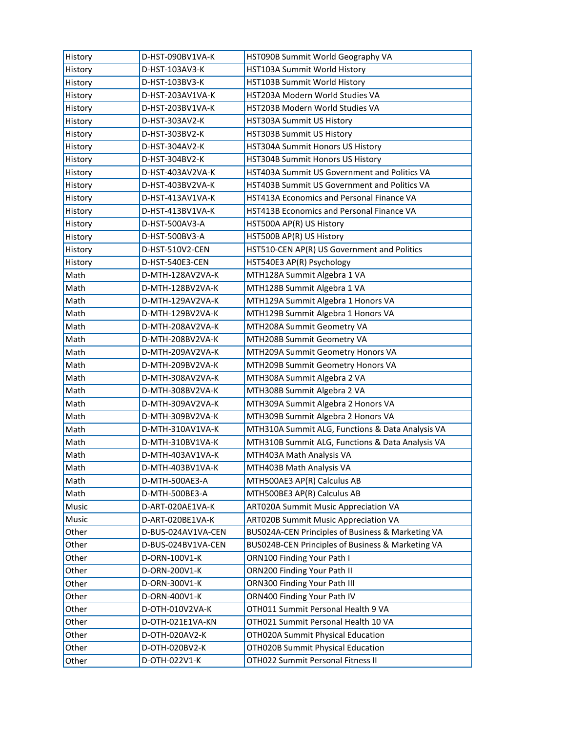| History | D-HST-090BV1VA-K   | HST090B Summit World Geography VA                 |
|---------|--------------------|---------------------------------------------------|
| History | D-HST-103AV3-K     | HST103A Summit World History                      |
| History | D-HST-103BV3-K     | HST103B Summit World History                      |
| History | D-HST-203AV1VA-K   | HST203A Modern World Studies VA                   |
| History | D-HST-203BV1VA-K   | HST203B Modern World Studies VA                   |
| History | D-HST-303AV2-K     | HST303A Summit US History                         |
| History | D-HST-303BV2-K     | HST303B Summit US History                         |
| History | D-HST-304AV2-K     | HST304A Summit Honors US History                  |
| History | D-HST-304BV2-K     | HST304B Summit Honors US History                  |
| History | D-HST-403AV2VA-K   | HST403A Summit US Government and Politics VA      |
| History | D-HST-403BV2VA-K   | HST403B Summit US Government and Politics VA      |
| History | D-HST-413AV1VA-K   | HST413A Economics and Personal Finance VA         |
| History | D-HST-413BV1VA-K   | HST413B Economics and Personal Finance VA         |
| History | D-HST-500AV3-A     | HST500A AP(R) US History                          |
| History | D-HST-500BV3-A     | HST500B AP(R) US History                          |
| History | D-HST-510V2-CEN    | HST510-CEN AP(R) US Government and Politics       |
| History | D-HST-540E3-CEN    | HST540E3 AP(R) Psychology                         |
| Math    | D-MTH-128AV2VA-K   | MTH128A Summit Algebra 1 VA                       |
| Math    | D-MTH-128BV2VA-K   | MTH128B Summit Algebra 1 VA                       |
| Math    | D-MTH-129AV2VA-K   | MTH129A Summit Algebra 1 Honors VA                |
| Math    | D-MTH-129BV2VA-K   | MTH129B Summit Algebra 1 Honors VA                |
| Math    | D-MTH-208AV2VA-K   | MTH208A Summit Geometry VA                        |
| Math    | D-MTH-208BV2VA-K   | MTH208B Summit Geometry VA                        |
| Math    | D-MTH-209AV2VA-K   | MTH209A Summit Geometry Honors VA                 |
| Math    | D-MTH-209BV2VA-K   | MTH209B Summit Geometry Honors VA                 |
| Math    | D-MTH-308AV2VA-K   | MTH308A Summit Algebra 2 VA                       |
| Math    | D-MTH-308BV2VA-K   | MTH308B Summit Algebra 2 VA                       |
| Math    | D-MTH-309AV2VA-K   | MTH309A Summit Algebra 2 Honors VA                |
| Math    | D-MTH-309BV2VA-K   | MTH309B Summit Algebra 2 Honors VA                |
| Math    | D-MTH-310AV1VA-K   | MTH310A Summit ALG, Functions & Data Analysis VA  |
| Math    | D-MTH-310BV1VA-K   | MTH310B Summit ALG, Functions & Data Analysis VA  |
| Math    | D-MTH-403AV1VA-K   | MTH403A Math Analysis VA                          |
| Math    | D-MTH-403BV1VA-K   | MTH403B Math Analysis VA                          |
| Math    | D-MTH-500AE3-A     | MTH500AE3 AP(R) Calculus AB                       |
| Math    | D-MTH-500BE3-A     | MTH500BE3 AP(R) Calculus AB                       |
| Music   | D-ART-020AE1VA-K   | ART020A Summit Music Appreciation VA              |
| Music   | D-ART-020BE1VA-K   | ART020B Summit Music Appreciation VA              |
| Other   | D-BUS-024AV1VA-CEN | BUS024A-CEN Principles of Business & Marketing VA |
| Other   | D-BUS-024BV1VA-CEN | BUS024B-CEN Principles of Business & Marketing VA |
| Other   | D-ORN-100V1-K      | ORN100 Finding Your Path I                        |
| Other   | D-ORN-200V1-K      | ORN200 Finding Your Path II                       |
| Other   | D-ORN-300V1-K      | ORN300 Finding Your Path III                      |
| Other   | D-ORN-400V1-K      | ORN400 Finding Your Path IV                       |
| Other   | D-OTH-010V2VA-K    | OTH011 Summit Personal Health 9 VA                |
| Other   | D-OTH-021E1VA-KN   | OTH021 Summit Personal Health 10 VA               |
| Other   | D-OTH-020AV2-K     | OTH020A Summit Physical Education                 |
| Other   | D-OTH-020BV2-K     | OTH020B Summit Physical Education                 |
| Other   | D-OTH-022V1-K      | OTH022 Summit Personal Fitness II                 |